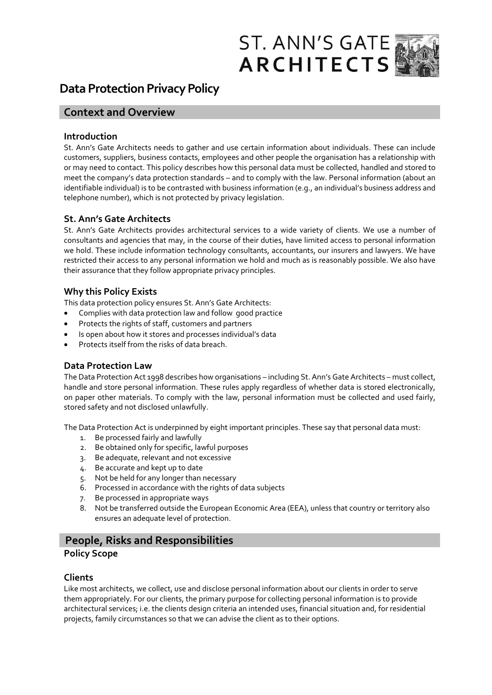



# **Data Protection Privacy Policy**

## **Context and Overview**

#### **Introduction**

St. Ann's Gate Architects needs to gather and use certain information about individuals. These can include customers, suppliers, business contacts, employees and other people the organisation has a relationship with or may need to contact. This policy describes how this personal data must be collected, handled and stored to meet the company's data protection standards – and to comply with the law. Personal information (about an identifiable individual) is to be contrasted with business information (e.g., an individual's business address and telephone number), which is not protected by privacy legislation.

#### **St. Ann's Gate Architects**

St. Ann's Gate Architects provides architectural services to a wide variety of clients. We use a number of consultants and agencies that may, in the course of their duties, have limited access to personal information we hold. These include information technology consultants, accountants, our insurers and lawyers. We have restricted their access to any personal information we hold and much as is reasonably possible. We also have their assurance that they follow appropriate privacy principles.

## **Why this Policy Exists**

This data protection policy ensures St. Ann's Gate Architects:

- Complies with data protection law and follow good practice
- Protects the rights of staff, customers and partners
- Is open about how it stores and processes individual's data
- Protects itself from the risks of data breach.

## **Data Protection Law**

The Data Protection Act 1998 describes how organisations – including St. Ann's Gate Architects – must collect, handle and store personal information. These rules apply regardless of whether data is stored electronically, on paper other materials. To comply with the law, personal information must be collected and used fairly, stored safety and not disclosed unlawfully.

The Data Protection Act is underpinned by eight important principles. These say that personal data must:

- 1. Be processed fairly and lawfully
- 2. Be obtained only for specific, lawful purposes
- 3. Be adequate, relevant and not excessive
- 4. Be accurate and kept up to date
- 5. Not be held for any longer than necessary
- 6. Processed in accordance with the rights of data subjects
- 7. Be processed in appropriate ways
- 8. Not be transferred outside the European Economic Area (EEA), unless that country or territory also ensures an adequate level of protection.

## **People, Risks and Responsibilities**

## **Policy Scope**

#### **Clients**

Like most architects, we collect, use and disclose personal information about our clients in order to serve them appropriately. For our clients, the primary purpose for collecting personal information is to provide architectural services; i.e. the clients design criteria an intended uses, financial situation and, for residential projects, family circumstances so that we can advise the client as to their options.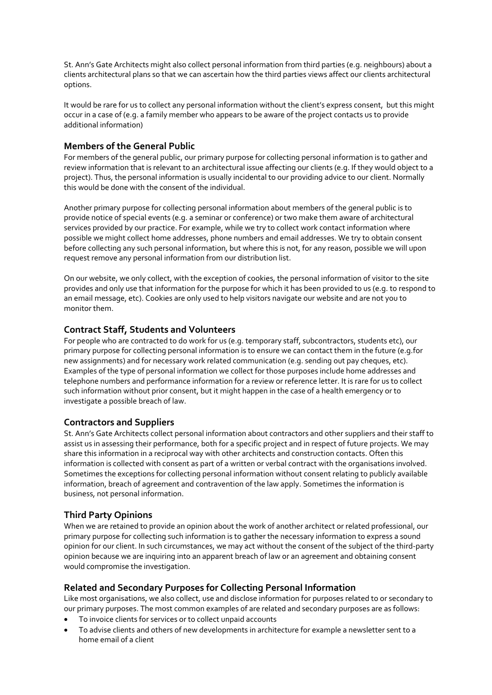St. Ann's Gate Architects might also collect personal information from third parties (e.g. neighbours) about a clients architectural plans so that we can ascertain how the third parties views affect our clients architectural options.

It would be rare for us to collect any personal information without the client's express consent, but this might occur in a case of (e.g. a family member who appears to be aware of the project contacts us to provide additional information)

#### **Members of the General Public**

For members of the general public, our primary purpose for collecting personal information is to gather and review information that is relevant to an architectural issue affecting our clients (e.g. If they would object to a project). Thus, the personal information is usually incidental to our providing advice to our client. Normally this would be done with the consent of the individual.

Another primary purpose for collecting personal information about members of the general public is to provide notice of special events (e.g. a seminar or conference) or two make them aware of architectural services provided by our practice. For example, while we try to collect work contact information where possible we might collect home addresses, phone numbers and email addresses. We try to obtain consent before collecting any such personal information, but where this is not, for any reason, possible we will upon request remove any personal information from our distribution list.

On our website, we only collect, with the exception of cookies, the personal information of visitor to the site provides and only use that information for the purpose for which it has been provided to us (e.g. to respond to an email message, etc). Cookies are only used to help visitors navigate our website and are not you to monitor them.

#### **Contract Staff, Students and Volunteers**

For people who are contracted to do work for us (e.g. temporary staff, subcontractors, students etc), our primary purpose for collecting personal information is to ensure we can contact them in the future (e.g.for new assignments) and for necessary work related communication (e.g. sending out pay cheques, etc). Examples of the type of personal information we collect for those purposes include home addresses and telephone numbers and performance information for a review or reference letter. It is rare for us to collect such information without prior consent, but it might happen in the case of a health emergency or to investigate a possible breach of law.

#### **Contractors and Suppliers**

St. Ann's Gate Architects collect personal information about contractors and other suppliers and their staff to assist us in assessing their performance, both for a specific project and in respect of future projects. We may share this information in a reciprocal way with other architects and construction contacts. Often this information is collected with consent as part of a written or verbal contract with the organisations involved. Sometimes the exceptions for collecting personal information without consent relating to publicly available information, breach of agreement and contravention of the law apply. Sometimes the information is business, not personal information.

#### **Third Party Opinions**

When we are retained to provide an opinion about the work of another architect or related professional, our primary purpose for collecting such information is to gather the necessary information to express a sound opinion for our client. In such circumstances, we may act without the consent of the subject of the third-party opinion because we are inquiring into an apparent breach of law or an agreement and obtaining consent would compromise the investigation.

#### **Related and Secondary Purposes for Collecting Personal Information**

Like most organisations, we also collect, use and disclose information for purposes related to or secondary to our primary purposes. The most common examples of are related and secondary purposes are as follows:

- To invoice clients for services or to collect unpaid accounts
- To advise clients and others of new developments in architecture for example a newsletter sent to a home email of a client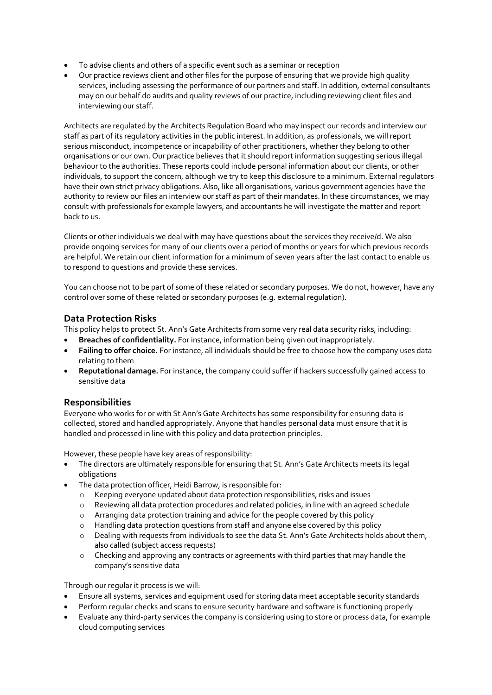- To advise clients and others of a specific event such as a seminar or reception
- Our practice reviews client and other files for the purpose of ensuring that we provide high quality services, including assessing the performance of our partners and staff. In addition, external consultants may on our behalf do audits and quality reviews of our practice, including reviewing client files and interviewing our staff.

Architects are regulated by the Architects Regulation Board who may inspect our records and interview our staff as part of its regulatory activities in the public interest. In addition, as professionals, we will report serious misconduct, incompetence or incapability of other practitioners, whether they belong to other organisations or our own. Our practice believes that it should report information suggesting serious illegal behaviour to the authorities. These reports could include personal information about our clients, or other individuals, to support the concern, although we try to keep this disclosure to a minimum. External regulators have their own strict privacy obligations. Also, like all organisations, various government agencies have the authority to review our files an interview our staff as part of their mandates. In these circumstances, we may consult with professionals for example lawyers, and accountants he will investigate the matter and report back to us.

Clients or other individuals we deal with may have questions about the services they receive/d. We also provide ongoing services for many of our clients over a period of months or years for which previous records are helpful. We retain our client information for a minimum of seven years after the last contact to enable us to respond to questions and provide these services.

You can choose not to be part of some of these related or secondary purposes. We do not, however, have any control over some of these related or secondary purposes (e.g. external regulation).

#### **Data Protection Risks**

This policy helps to protect St. Ann's Gate Architects from some very real data security risks, including:

- **Breaches of confidentiality.** For instance, information being given out inappropriately.
- **Failing to offer choice.** For instance, all individuals should be free to choose how the company uses data relating to them
- **Reputational damage.** For instance, the company could suffer if hackers successfully gained access to sensitive data

#### **Responsibilities**

Everyone who works for or with St Ann's Gate Architects has some responsibility for ensuring data is collected, stored and handled appropriately. Anyone that handles personal data must ensure that it is handled and processed in line with this policy and data protection principles.

However, these people have key areas of responsibility:

- The directors are ultimately responsible for ensuring that St. Ann's Gate Architects meets its legal obligations
- The data protection officer, Heidi Barrow, is responsible for:
	- o Keeping everyone updated about data protection responsibilities, risks and issues
	- o Reviewing all data protection procedures and related policies, in line with an agreed schedule
	- o Arranging data protection training and advice for the people covered by this policy
	- o Handling data protection questions from staff and anyone else covered by this policy
	- o Dealing with requests from individuals to see the data St. Ann's Gate Architects holds about them, also called (subject access requests)
	- o Checking and approving any contracts or agreements with third parties that may handle the company's sensitive data

Through our regular it process is we will:

- Ensure all systems, services and equipment used for storing data meet acceptable security standards
- Perform regular checks and scans to ensure security hardware and software is functioning properly
- Evaluate any third-party services the company is considering using to store or process data, for example cloud computing services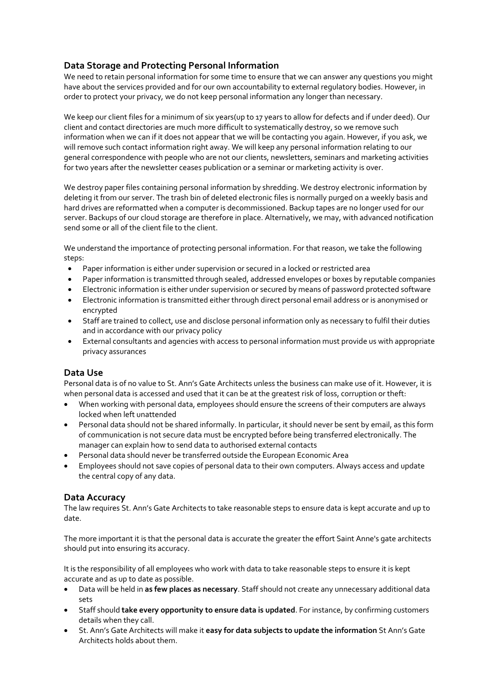## **Data Storage and Protecting Personal Information**

We need to retain personal information for some time to ensure that we can answer any questions you might have about the services provided and for our own accountability to external regulatory bodies. However, in order to protect your privacy, we do not keep personal information any longer than necessary.

We keep our client files for a minimum of six years(up to 17 years to allow for defects and if under deed). Our client and contact directories are much more difficult to systematically destroy, so we remove such information when we can if it does not appear that we will be contacting you again. However, if you ask, we will remove such contact information right away. We will keep any personal information relating to our general correspondence with people who are not our clients, newsletters, seminars and marketing activities for two years after the newsletter ceases publication or a seminar or marketing activity is over.

We destroy paper files containing personal information by shredding. We destroy electronic information by deleting it from our server. The trash bin of deleted electronic files is normally purged on a weekly basis and hard drives are reformatted when a computer is decommissioned. Backup tapes are no longer used for our server. Backups of our cloud storage are therefore in place. Alternatively, we may, with advanced notification send some or all of the client file to the client.

We understand the importance of protecting personal information. For that reason, we take the following steps:

- Paper information is either under supervision or secured in a locked or restricted area
- Paper information is transmitted through sealed, addressed envelopes or boxes by reputable companies
- Electronic information is either under supervision or secured by means of password protected software
- Electronic information is transmitted either through direct personal email address or is anonymised or encrypted
- Staff are trained to collect, use and disclose personal information only as necessary to fulfil their duties and in accordance with our privacy policy
- External consultants and agencies with access to personal information must provide us with appropriate privacy assurances

## **Data Use**

Personal data is of no value to St. Ann's Gate Architects unless the business can make use of it. However, it is when personal data is accessed and used that it can be at the greatest risk of loss, corruption or theft:

- When working with personal data, employees should ensure the screens of their computers are always locked when left unattended
- Personal data should not be shared informally. In particular, it should never be sent by email, as this form of communication is not secure data must be encrypted before being transferred electronically. The manager can explain how to send data to authorised external contacts
- Personal data should never be transferred outside the European Economic Area
- Employees should not save copies of personal data to their own computers. Always access and update the central copy of any data.

#### **Data Accuracy**

The law requires St. Ann's Gate Architects to take reasonable steps to ensure data is kept accurate and up to date.

The more important it is that the personal data is accurate the greater the effort Saint Anne's gate architects should put into ensuring its accuracy.

It is the responsibility of all employees who work with data to take reasonable steps to ensure it is kept accurate and as up to date as possible.

- Data will be held in **as few places as necessary**. Staff should not create any unnecessary additional data sets
- Staff should **take every opportunity to ensure data is updated**. For instance, by confirming customers details when they call.
- St. Ann's Gate Architects will make it **easy for data subjects to update the information** St Ann's Gate Architects holds about them.